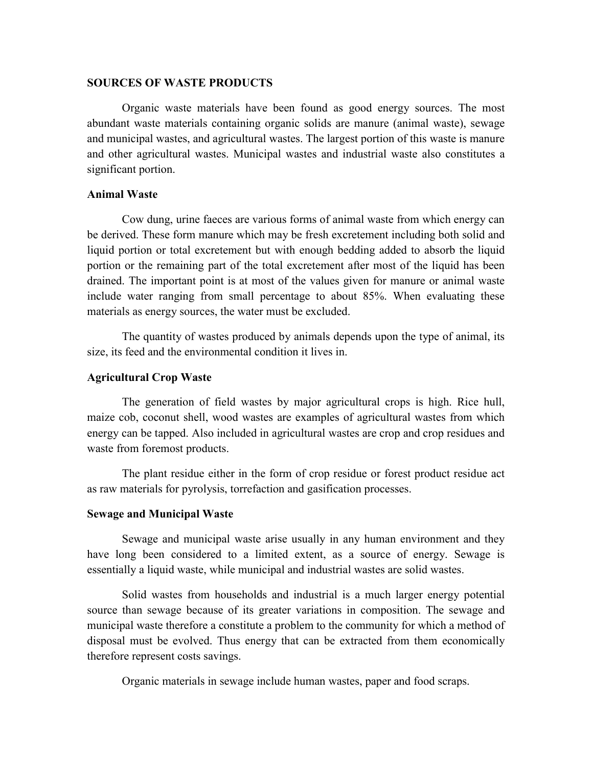#### **SOURCES OF WASTE PRODUCTS**

Organic waste materials have been found as good energy sources. The most abundant waste materials containing organic solids are manure (animal waste), sewage and municipal wastes, and agricultural wastes. The largest portion of this waste is manure and other agricultural wastes. Municipal wastes and industrial waste also constitutes a significant portion.

## **Animal Waste**

Cow dung, urine faeces are various forms of animal waste from which energy can be derived. These form manure which may be fresh excretement including both solid and liquid portion or total excretement but with enough bedding added to absorb the liquid portion or the remaining part of the total excretement after most of the liquid has been drained. The important point is at most of the values given for manure or animal waste include water ranging from small percentage to about 85%. When evaluating these materials as energy sources, the water must be excluded.

The quantity of wastes produced by animals depends upon the type of animal, its size, its feed and the environmental condition it lives in.

## **Agricultural Crop Waste**

The generation of field wastes by major agricultural crops is high. Rice hull, maize cob, coconut shell, wood wastes are examples of agricultural wastes from which energy can be tapped. Also included in agricultural wastes are crop and crop residues and waste from foremost products.

The plant residue either in the form of crop residue or forest product residue act as raw materials for pyrolysis, torrefaction and gasification processes.

#### **Sewage and Municipal Waste**

Sewage and municipal waste arise usually in any human environment and they have long been considered to a limited extent, as a source of energy. Sewage is essentially a liquid waste, while municipal and industrial wastes are solid wastes.

Solid wastes from households and industrial is a much larger energy potential source than sewage because of its greater variations in composition. The sewage and municipal waste therefore a constitute a problem to the community for which a method of disposal must be evolved. Thus energy that can be extracted from them economically therefore represent costs savings.

Organic materials in sewage include human wastes, paper and food scraps.